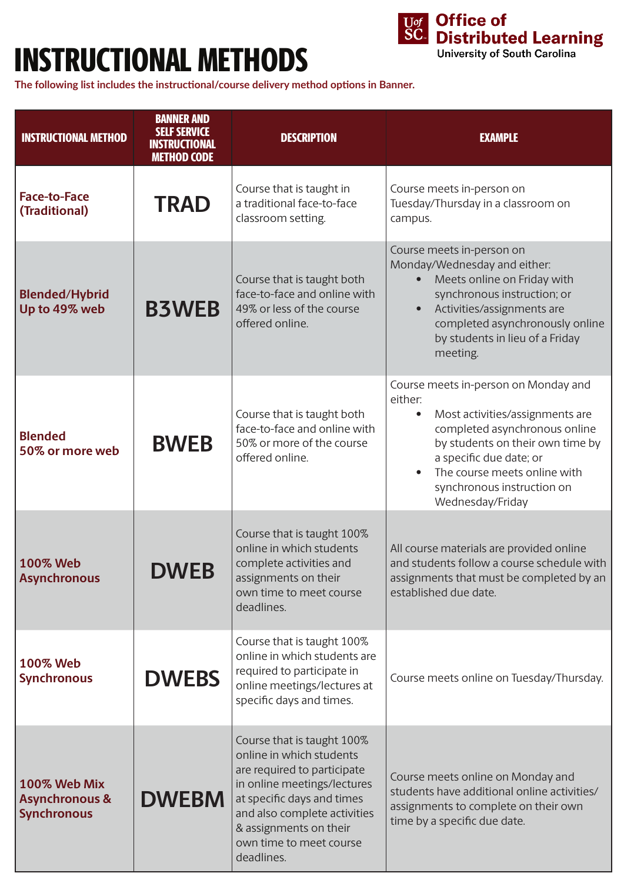## INSTRUCTIONAL METHODS



**The following list includes the instructional/course delivery method options in Banner.** 

| <b>INSTRUCTIONAL METHOD</b>                                     | <b>BANNER AND</b><br><b>SELF SERVICE</b><br><b>INSTRUCTIONAL</b><br><b>METHOD CODE</b> | <b>DESCRIPTION</b>                                                                                                                                                                                                                                    | <b>EXAMPLE</b>                                                                                                                                                                                                                                                                    |
|-----------------------------------------------------------------|----------------------------------------------------------------------------------------|-------------------------------------------------------------------------------------------------------------------------------------------------------------------------------------------------------------------------------------------------------|-----------------------------------------------------------------------------------------------------------------------------------------------------------------------------------------------------------------------------------------------------------------------------------|
| <b>Face-to-Face</b><br>(Traditional)                            | <b>TRAD</b>                                                                            | Course that is taught in<br>a traditional face-to-face<br>classroom setting.                                                                                                                                                                          | Course meets in-person on<br>Tuesday/Thursday in a classroom on<br>campus.                                                                                                                                                                                                        |
| <b>Blended/Hybrid</b><br>Up to 49% web                          | <b>B3WEB</b>                                                                           | Course that is taught both<br>face-to-face and online with<br>49% or less of the course<br>offered online.                                                                                                                                            | Course meets in-person on<br>Monday/Wednesday and either:<br>Meets online on Friday with<br>synchronous instruction; or<br>Activities/assignments are<br>completed asynchronously online<br>by students in lieu of a Friday<br>meeting.                                           |
| <b>Blended</b><br>50% or more web                               | <b>BWEB</b>                                                                            | Course that is taught both<br>face-to-face and online with<br>50% or more of the course<br>offered online.                                                                                                                                            | Course meets in-person on Monday and<br>either:<br>Most activities/assignments are<br>completed asynchronous online<br>by students on their own time by<br>a specific due date; or<br>The course meets online with<br>$\bullet$<br>synchronous instruction on<br>Wednesday/Friday |
| <b>100% Web</b><br><b>Asynchronous</b>                          | <b>DWEB</b>                                                                            | Course that is taught 100%<br>online in which students<br>complete activities and<br>assignments on their<br>own time to meet course<br>deadlines.                                                                                                    | All course materials are provided online<br>and students follow a course schedule with<br>assignments that must be completed by an<br>established due date.                                                                                                                       |
| <b>100% Web</b><br><b>Synchronous</b>                           | <b>DWEBS</b>                                                                           | Course that is taught 100%<br>online in which students are<br>required to participate in<br>online meetings/lectures at<br>specific days and times.                                                                                                   | Course meets online on Tuesday/Thursday.                                                                                                                                                                                                                                          |
| 100% Web Mix<br><b>Asynchronous &amp;</b><br><b>Synchronous</b> | <b>DWEBM</b>                                                                           | Course that is taught 100%<br>online in which students<br>are required to participate<br>in online meetings/lectures<br>at specific days and times<br>and also complete activities<br>& assignments on their<br>own time to meet course<br>deadlines. | Course meets online on Monday and<br>students have additional online activities/<br>assignments to complete on their own<br>time by a specific due date.                                                                                                                          |